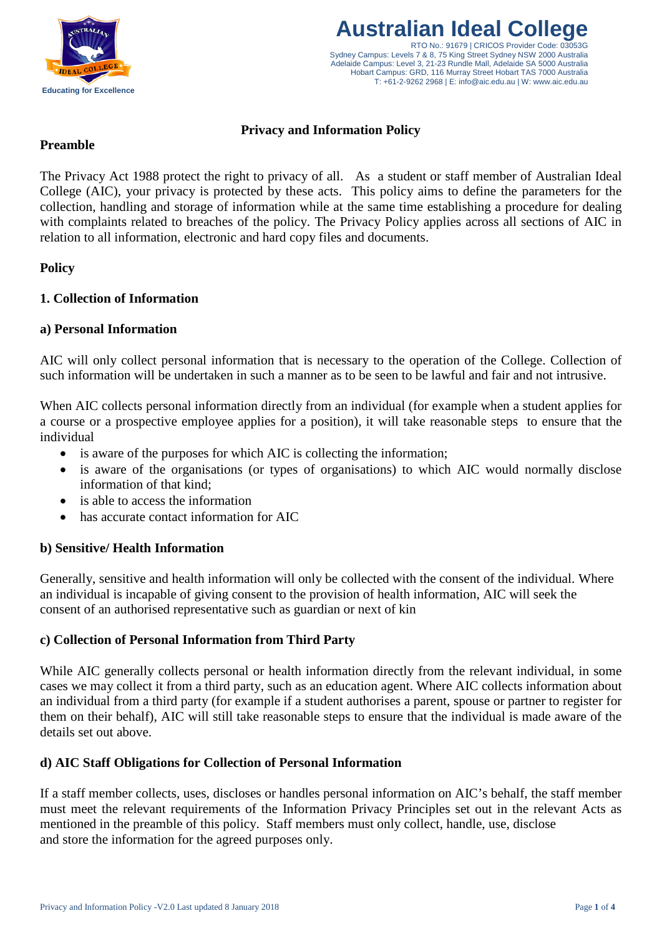



# **Privacy and Information Policy**

# **Preamble**

The Privacy Act 1988 protect the right to privacy of all. As a student or staff member of Australian Ideal College (AIC), your privacy is protected by these acts. This policy aims to define the parameters for the collection, handling and storage of information while at the same time establishing a procedure for dealing with complaints related to breaches of the policy. The Privacy Policy applies across all sections of AIC in relation to all information, electronic and hard copy files and documents.

# **Policy**

# **1. Collection of Information**

# **a) Personal Information**

AIC will only collect personal information that is necessary to the operation of the College. Collection of such information will be undertaken in such a manner as to be seen to be lawful and fair and not intrusive.

When AIC collects personal information directly from an individual (for example when a student applies for a course or a prospective employee applies for a position), it will take reasonable steps to ensure that the individual

- is aware of the purposes for which AIC is collecting the information;
- is aware of the organisations (or types of organisations) to which AIC would normally disclose information of that kind;
- is able to access the information
- has accurate contact information for AIC

#### **b) Sensitive/ Health Information**

Generally, sensitive and health information will only be collected with the consent of the individual. Where an individual is incapable of giving consent to the provision of health information, AIC will seek the consent of an authorised representative such as guardian or next of kin

# **c) Collection of Personal Information from Third Party**

While AIC generally collects personal or health information directly from the relevant individual, in some cases we may collect it from a third party, such as an education agent. Where AIC collects information about an individual from a third party (for example if a student authorises a parent, spouse or partner to register for them on their behalf), AIC will still take reasonable steps to ensure that the individual is made aware of the details set out above.

#### **d) AIC Staff Obligations for Collection of Personal Information**

If a staff member collects, uses, discloses or handles personal information on AIC's behalf, the staff member must meet the relevant requirements of the Information Privacy Principles set out in the relevant Acts as mentioned in the preamble of this policy. Staff members must only collect, handle, use, disclose and store the information for the agreed purposes only.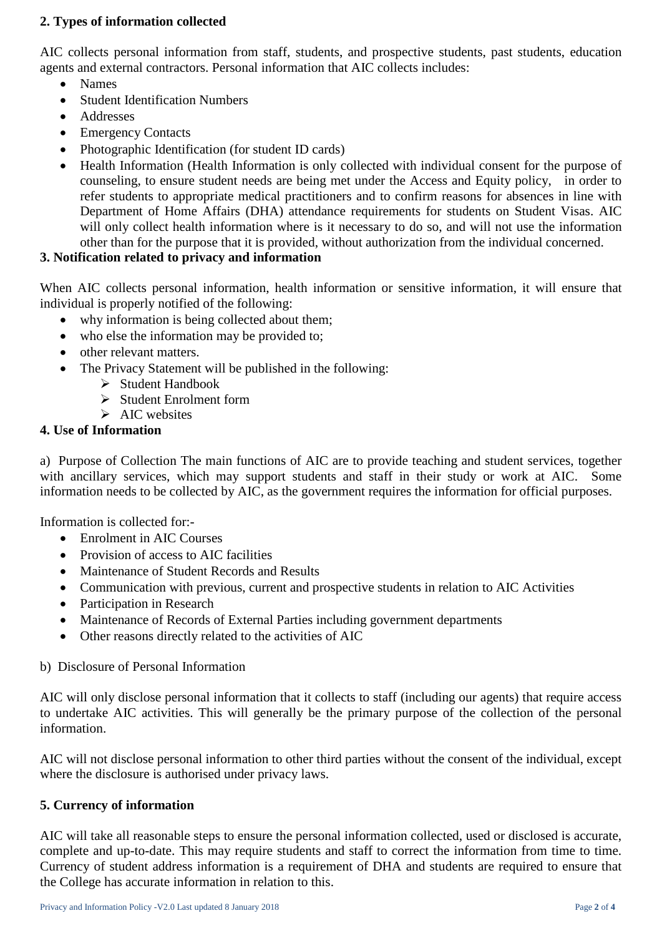# **2. Types of information collected**

AIC collects personal information from staff, students, and prospective students, past students, education agents and external contractors. Personal information that AIC collects includes:

- Names
- Student Identification Numbers
- Addresses
- Emergency Contacts
- Photographic Identification (for student ID cards)
- Health Information (Health Information is only collected with individual consent for the purpose of counseling, to ensure student needs are being met under the Access and Equity policy, in order to refer students to appropriate medical practitioners and to confirm reasons for absences in line with Department of Home Affairs (DHA) attendance requirements for students on Student Visas. AIC will only collect health information where is it necessary to do so, and will not use the information other than for the purpose that it is provided, without authorization from the individual concerned.

# **3. Notification related to privacy and information**

When AIC collects personal information, health information or sensitive information, it will ensure that individual is properly notified of the following:

- why information is being collected about them;
- who else the information may be provided to:
- other relevant matters.
- The Privacy Statement will be published in the following:
	- $\triangleright$  Student Handbook
		- $\triangleright$  Student Enrolment form
		- $\triangleright$  AIC websites

#### **4. Use of Information**

a) Purpose of Collection The main functions of AIC are to provide teaching and student services, together with ancillary services, which may support students and staff in their study or work at AIC. Some information needs to be collected by AIC, as the government requires the information for official purposes.

Information is collected for:-

- Enrolment in AIC Courses
- Provision of access to AIC facilities
- Maintenance of Student Records and Results
- Communication with previous, current and prospective students in relation to AIC Activities
- Participation in Research
- Maintenance of Records of External Parties including government departments
- Other reasons directly related to the activities of AIC

b) Disclosure of Personal Information

AIC will only disclose personal information that it collects to staff (including our agents) that require access to undertake AIC activities. This will generally be the primary purpose of the collection of the personal information.

AIC will not disclose personal information to other third parties without the consent of the individual, except where the disclosure is authorised under privacy laws.

#### **5. Currency of information**

AIC will take all reasonable steps to ensure the personal information collected, used or disclosed is accurate, complete and up-to-date. This may require students and staff to correct the information from time to time. Currency of student address information is a requirement of DHA and students are required to ensure that the College has accurate information in relation to this.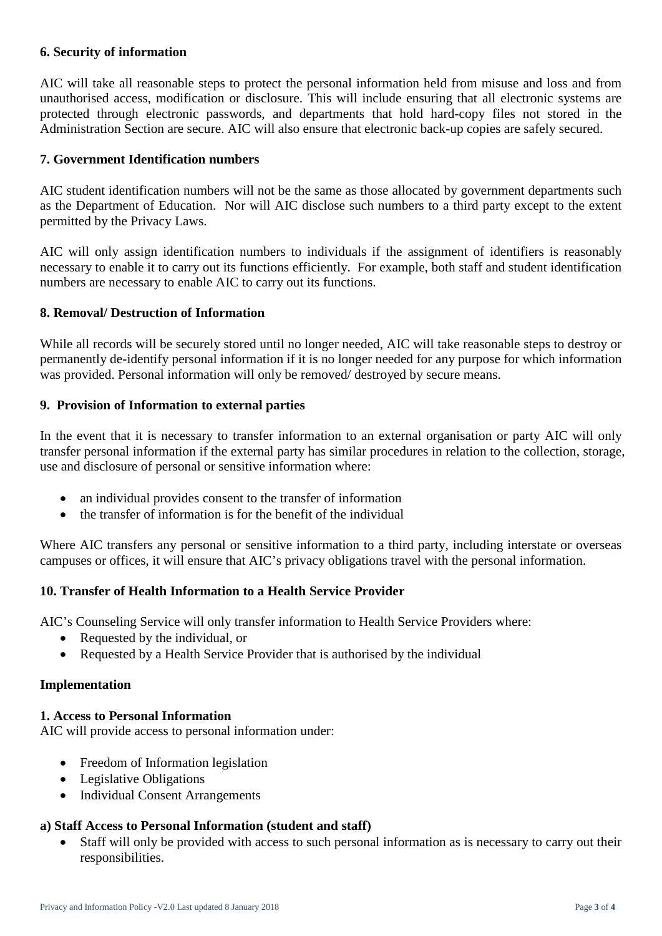# **6. Security of information**

AIC will take all reasonable steps to protect the personal information held from misuse and loss and from unauthorised access, modification or disclosure. This will include ensuring that all electronic systems are protected through electronic passwords, and departments that hold hard-copy files not stored in the Administration Section are secure. AIC will also ensure that electronic back-up copies are safely secured.

#### **7. Government Identification numbers**

AIC student identification numbers will not be the same as those allocated by government departments such as the Department of Education. Nor will AIC disclose such numbers to a third party except to the extent permitted by the Privacy Laws.

AIC will only assign identification numbers to individuals if the assignment of identifiers is reasonably necessary to enable it to carry out its functions efficiently. For example, both staff and student identification numbers are necessary to enable AIC to carry out its functions.

#### **8. Removal/ Destruction of Information**

While all records will be securely stored until no longer needed, AIC will take reasonable steps to destroy or permanently de-identify personal information if it is no longer needed for any purpose for which information was provided. Personal information will only be removed/ destroyed by secure means.

# **9. Provision of Information to external parties**

In the event that it is necessary to transfer information to an external organisation or party AIC will only transfer personal information if the external party has similar procedures in relation to the collection, storage, use and disclosure of personal or sensitive information where:

- an individual provides consent to the transfer of information
- the transfer of information is for the benefit of the individual

Where AIC transfers any personal or sensitive information to a third party, including interstate or overseas campuses or offices, it will ensure that AIC's privacy obligations travel with the personal information.

#### **10. Transfer of Health Information to a Health Service Provider**

AIC's Counseling Service will only transfer information to Health Service Providers where:

- Requested by the individual, or
- Requested by a Health Service Provider that is authorised by the individual

#### **Implementation**

#### **1. Access to Personal Information**

AIC will provide access to personal information under:

- Freedom of Information legislation
- Legislative Obligations
- Individual Consent Arrangements

#### **a) Staff Access to Personal Information (student and staff)**

• Staff will only be provided with access to such personal information as is necessary to carry out their responsibilities.